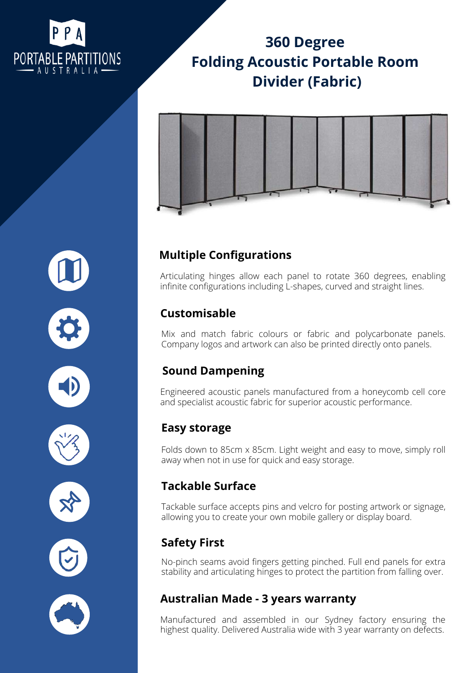

# **[360 Degree](https://portablepartitions.com.au/shop/acoustic-portable-room-dividers/360-acoustic-portable-divider-fabric/) [Folding Acoustic Portable Room](https://portablepartitions.com.au/shop/acoustic-portable-room-dividers/360-acoustic-portable-divider-fabric/) [Divider \(Fabric\)](https://portablepartitions.com.au/shop/acoustic-portable-room-dividers/360-acoustic-portable-divider-fabric/)**



## **Multiple Configurations**

Articulating hinges allow each panel to rotate 360 degrees, enabling infinite configurations including L-shapes, curved and straight lines.

### **Customisable**

Mix and match fabric colours or fabric and polycarbonate panels. Company logos and artwork can also be printed directly onto panels.

## **Sound Dampening**

Engineered acoustic panels manufactured from a honeycomb cell core and specialist acoustic fabric for superior acoustic performance.

#### **Easy storage**

Folds down to 85cm x 85cm. Light weight and easy to move, simply roll away when not in use for quick and easy storage.

### **Tackable Surface**

Tackable surface accepts pins and velcro for posting artwork or signage, allowing you to create your own mobile gallery or display board.

## **Safety First**

No-pinch seams avoid fingers getting pinched. Full end panels for extra stability and articulating hinges to protect the partition from falling over.

### **Australian Made - 3 years warranty**

Manufactured and assembled in our Sydney factory ensuring the highest quality. Delivered Australia wide with 3 year warranty on defects.







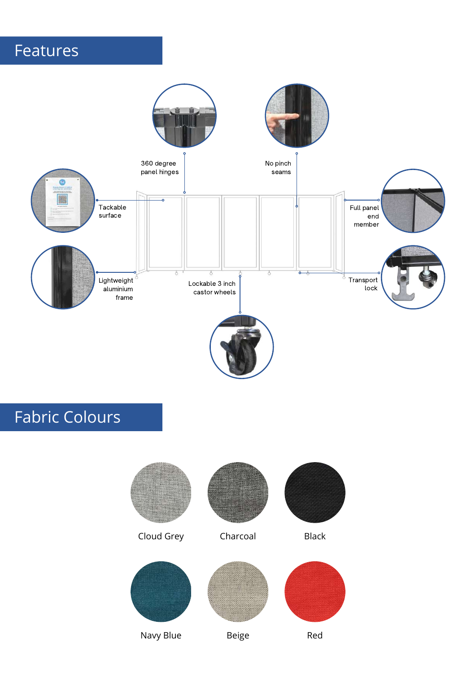# Features



# Fabric Colours